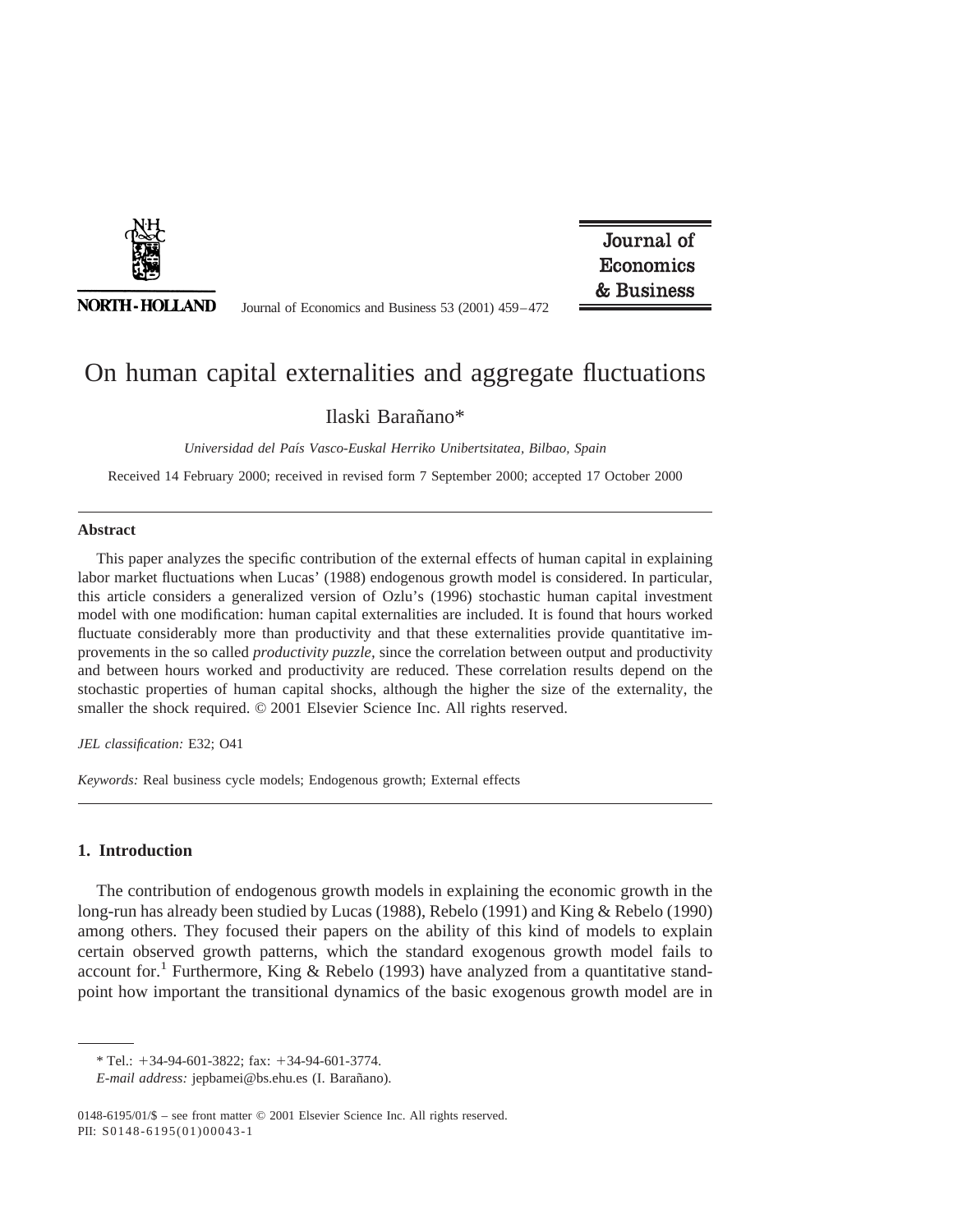

**NORTH-HOLLAND** 

Journal of Economics and Business 53 (2001) 459–472

Journal of Economics & Business

# On human capital externalities and aggregate fluctuations

## Ilaski Baran˜ano\*

*Universidad del Paı´s Vasco-Euskal Herriko Unibertsitatea, Bilbao, Spain*

Received 14 February 2000; received in revised form 7 September 2000; accepted 17 October 2000

#### **Abstract**

This paper analyzes the specific contribution of the external effects of human capital in explaining labor market fluctuations when Lucas' (1988) endogenous growth model is considered. In particular, this article considers a generalized version of Ozlu's (1996) stochastic human capital investment model with one modification: human capital externalities are included. It is found that hours worked fluctuate considerably more than productivity and that these externalities provide quantitative improvements in the so called *productivity puzzle,* since the correlation between output and productivity and between hours worked and productivity are reduced. These correlation results depend on the stochastic properties of human capital shocks, although the higher the size of the externality, the smaller the shock required.  $\odot$  2001 Elsevier Science Inc. All rights reserved.

*JEL classification:* E32; O41

*Keywords:* Real business cycle models; Endogenous growth; External effects

#### **1. Introduction**

The contribution of endogenous growth models in explaining the economic growth in the long-run has already been studied by Lucas (1988), Rebelo (1991) and King & Rebelo (1990) among others. They focused their papers on the ability of this kind of models to explain certain observed growth patterns, which the standard exogenous growth model fails to account for.<sup>1</sup> Furthermore, King & Rebelo (1993) have analyzed from a quantitative standpoint how important the transitional dynamics of the basic exogenous growth model are in

 $*$  Tel.:  $+34-94-601-3822$ ; fax:  $+34-94-601-3774$ .

*E-mail address:* jepbamei@bs.ehu.es (I. Barañano).

<sup>0148-6195/01/\$ –</sup> see front matter © 2001 Elsevier Science Inc. All rights reserved. PII: S0148-6195(01)00043-1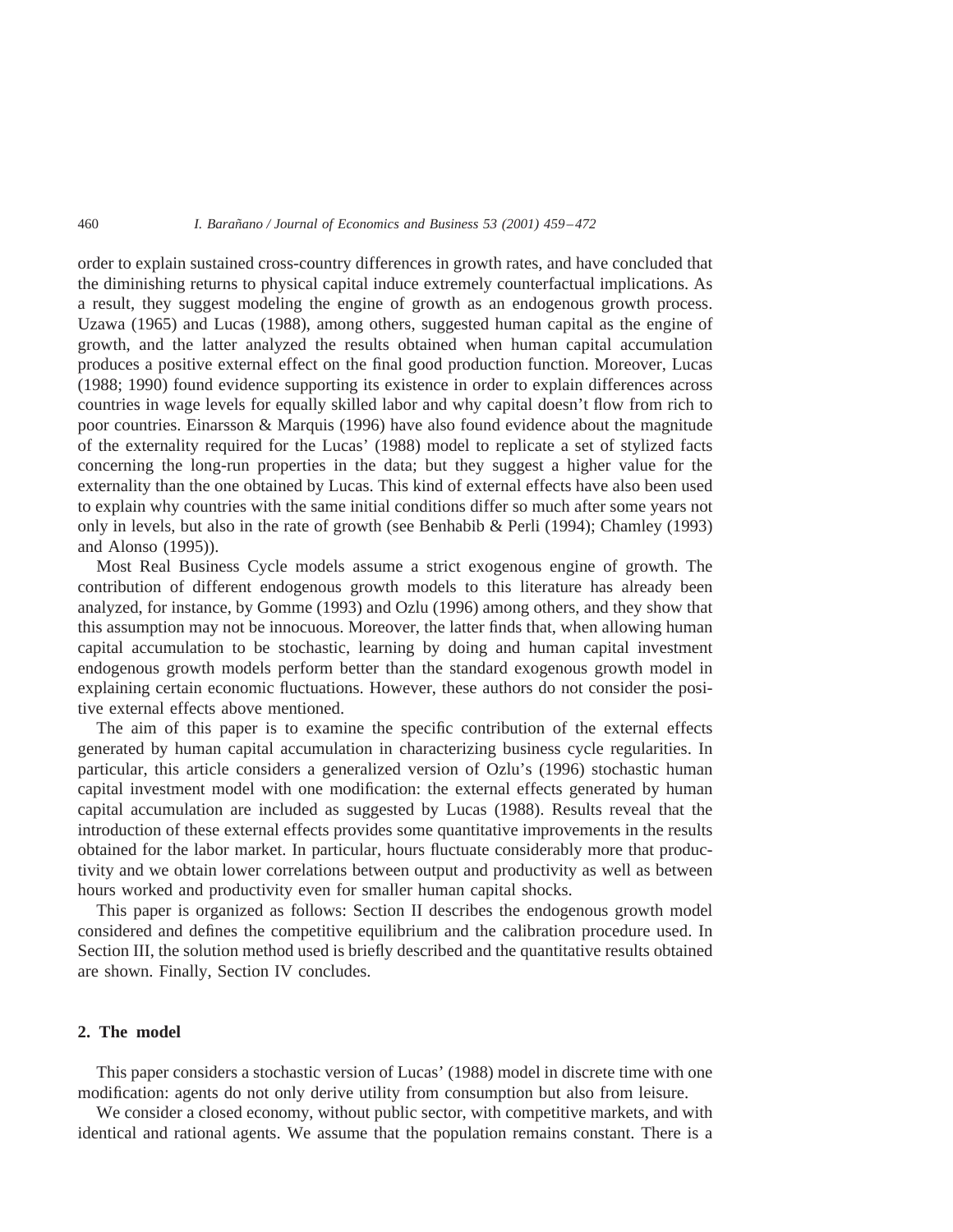order to explain sustained cross-country differences in growth rates, and have concluded that the diminishing returns to physical capital induce extremely counterfactual implications. As a result, they suggest modeling the engine of growth as an endogenous growth process. Uzawa (1965) and Lucas (1988), among others, suggested human capital as the engine of growth, and the latter analyzed the results obtained when human capital accumulation produces a positive external effect on the final good production function. Moreover, Lucas (1988; 1990) found evidence supporting its existence in order to explain differences across countries in wage levels for equally skilled labor and why capital doesn't flow from rich to poor countries. Einarsson & Marquis (1996) have also found evidence about the magnitude of the externality required for the Lucas' (1988) model to replicate a set of stylized facts concerning the long-run properties in the data; but they suggest a higher value for the externality than the one obtained by Lucas. This kind of external effects have also been used to explain why countries with the same initial conditions differ so much after some years not only in levels, but also in the rate of growth (see Benhabib & Perli (1994); Chamley (1993) and Alonso (1995)).

Most Real Business Cycle models assume a strict exogenous engine of growth. The contribution of different endogenous growth models to this literature has already been analyzed, for instance, by Gomme (1993) and Ozlu (1996) among others, and they show that this assumption may not be innocuous. Moreover, the latter finds that, when allowing human capital accumulation to be stochastic, learning by doing and human capital investment endogenous growth models perform better than the standard exogenous growth model in explaining certain economic fluctuations. However, these authors do not consider the positive external effects above mentioned.

The aim of this paper is to examine the specific contribution of the external effects generated by human capital accumulation in characterizing business cycle regularities. In particular, this article considers a generalized version of Ozlu's (1996) stochastic human capital investment model with one modification: the external effects generated by human capital accumulation are included as suggested by Lucas (1988). Results reveal that the introduction of these external effects provides some quantitative improvements in the results obtained for the labor market. In particular, hours fluctuate considerably more that productivity and we obtain lower correlations between output and productivity as well as between hours worked and productivity even for smaller human capital shocks.

This paper is organized as follows: Section II describes the endogenous growth model considered and defines the competitive equilibrium and the calibration procedure used. In Section III, the solution method used is briefly described and the quantitative results obtained are shown. Finally, Section IV concludes.

### **2. The model**

This paper considers a stochastic version of Lucas' (1988) model in discrete time with one modification: agents do not only derive utility from consumption but also from leisure.

We consider a closed economy, without public sector, with competitive markets, and with identical and rational agents. We assume that the population remains constant. There is a